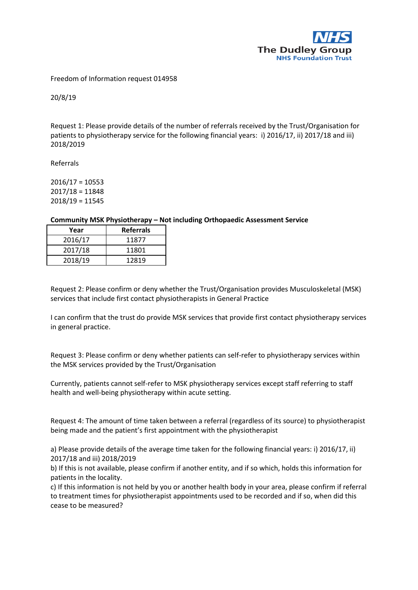

## Freedom of Information request 014958

20/8/19

Request 1: Please provide details of the number of referrals received by the Trust/Organisation for patients to physiotherapy service for the following financial years: i) 2016/17, ii) 2017/18 and iii) 2018/2019

Referrals

2016/17 = 10553 2017/18 = 11848 2018/19 = 11545

## **Community MSK Physiotherapy – Not including Orthopaedic Assessment Service**

| Year    | <b>Referrals</b> |
|---------|------------------|
| 2016/17 | 11877            |
| 2017/18 | 11801            |
| 2018/19 | 12819            |

Request 2: Please confirm or deny whether the Trust/Organisation provides Musculoskeletal (MSK) services that include first contact physiotherapists in General Practice

I can confirm that the trust do provide MSK services that provide first contact physiotherapy services in general practice.

Request 3: Please confirm or deny whether patients can self-refer to physiotherapy services within the MSK services provided by the Trust/Organisation

Currently, patients cannot self-refer to MSK physiotherapy services except staff referring to staff health and well-being physiotherapy within acute setting.

Request 4: The amount of time taken between a referral (regardless of its source) to physiotherapist being made and the patient's first appointment with the physiotherapist

a) Please provide details of the average time taken for the following financial years: i) 2016/17, ii) 2017/18 and iii) 2018/2019

b) If this is not available, please confirm if another entity, and if so which, holds this information for patients in the locality.

c) If this information is not held by you or another health body in your area, please confirm if referral to treatment times for physiotherapist appointments used to be recorded and if so, when did this cease to be measured?